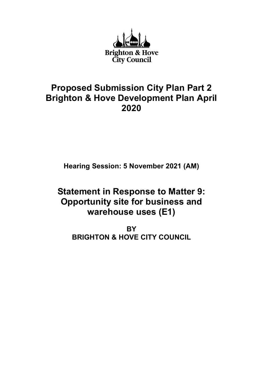

## Proposed Submission City Plan Part 2 Brighton & Hove Development Plan April 2020

Hearing Session: 5 November 2021 (AM)

# Statement in Response to Matter 9: Opportunity site for business and warehouse uses (E1)

**BY** BRIGHTON & HOVE CITY COUNCIL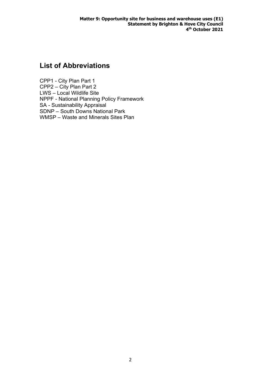## List of Abbreviations

CPP1 - City Plan Part 1 CPP2 – City Plan Part 2 LWS – Local Wildlife Site NPPF - National Planning Policy Framework SA - Sustainability Appraisal SDNP – South Downs National Park WMSP – Waste and Minerals Sites Plan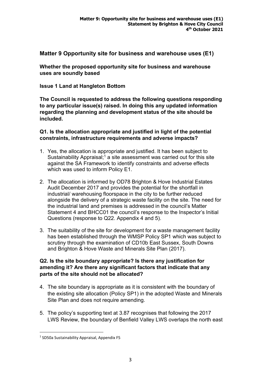Matter 9 Opportunity site for business and warehouse uses (E1)

Whether the proposed opportunity site for business and warehouse uses are soundly based

Issue 1 Land at Hangleton Bottom

The Council is requested to address the following questions responding to any particular issue(s) raised. In doing this any updated information regarding the planning and development status of the site should be included.

Q1. Is the allocation appropriate and justified in light of the potential constraints, infrastructure requirements and adverse impacts?

- 1. Yes, the allocation is appropriate and justified. It has been subject to Sustainability Appraisal;<sup>1</sup> a site assessment was carried out for this site against the SA Framework to identify constraints and adverse effects which was used to inform Policy E1.
- 2. The allocation is informed by OD78 Brighton & Hove Industrial Estates Audit December 2017 and provides the potential for the shortfall in industrial/ warehousing floorspace in the city to be further reduced alongside the delivery of a strategic waste facility on the site. The need for the industrial land and premises is addressed in the council's Matter Statement 4 and BHCC01 the council's response to the Inspector's Initial Questions (response to Q22. Appendix 4 and 5).
- 3. The suitability of the site for development for a waste management facility has been established through the WMSP Policy SP1 which was subject to scrutiny through the examination of CD10b East Sussex, South Downs and Brighton & Hove Waste and Minerals Site Plan (2017).

### Q2. Is the site boundary appropriate? Is there any justification for amending it? Are there any significant factors that indicate that any parts of the site should not be allocated?

- 4. The site boundary is appropriate as it is consistent with the boundary of the existing site allocation (Policy SP1) in the adopted Waste and Minerals Site Plan and does not require amending.
- 5. The policy's supporting text at 3.87 recognises that following the 2017 LWS Review, the boundary of Benfield Valley LWS overlaps the north east

<sup>&</sup>lt;sup>1</sup> SD50a Sustainability Appraisal, Appendix F5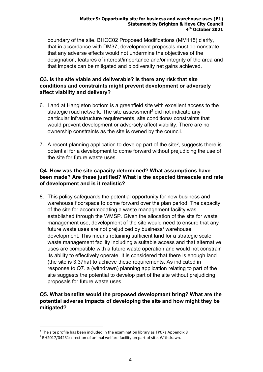#### Matter 9: Opportunity site for business and warehouse uses (E1) Statement by Brighton & Hove City Council 4 th October 2021

boundary of the site. BHCC02 Proposed Modifications (MM115) clarify, that in accordance with DM37, development proposals must demonstrate that any adverse effects would not undermine the objectives of the designation, features of interest/importance and/or integrity of the area and that impacts can be mitigated and biodiversity net gains achieved.

#### Q3. Is the site viable and deliverable? Is there any risk that site conditions and constraints might prevent development or adversely affect viability and delivery?

- 6. Land at Hangleton bottom is a greenfield site with excellent access to the strategic road network. The site assessment $^2$  did not indicate any particular infrastructure requirements, site conditions/ constraints that would prevent development or adversely affect viability. There are no ownership constraints as the site is owned by the council.
- 7. A recent planning application to develop part of the site<sup>3</sup>, suggests there is potential for a development to come forward without prejudicing the use of the site for future waste uses.

### Q4. How was the site capacity determined? What assumptions have been made? Are these justified? What is the expected timescale and rate of development and is it realistic?

8. This policy safeguards the potential opportunity for new business and warehouse floorspace to come forward over the plan period. The capacity of the site for accommodating a waste management facility was established through the WMSP. Given the allocation of the site for waste management use, development of the site would need to ensure that any future waste uses are not prejudiced by business/ warehouse development. This means retaining sufficient land for a strategic scale waste management facility including a suitable access and that alternative uses are compatible with a future waste operation and would not constrain its ability to effectively operate. It is considered that there is enough land (the site is 3.37ha) to achieve these requirements. As indicated in response to Q7. a (withdrawn) planning application relating to part of the site suggests the potential to develop part of the site without prejudicing proposals for future waste uses.

### Q5. What benefits would the proposed development bring? What are the potential adverse impacts of developing the site and how might they be mitigated?

 $2$  The site profile has been included in the examination library as TP07a Appendix 8

<sup>&</sup>lt;sup>3</sup> BH2017/04231: erection of animal welfare facility on part of site. Withdrawn.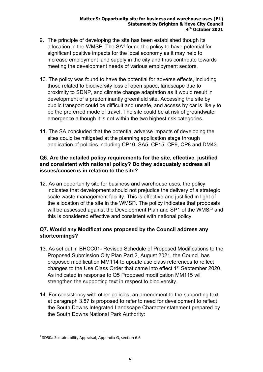#### Matter 9: Opportunity site for business and warehouse uses (E1) Statement by Brighton & Hove City Council 4 th October 2021

- 9. The principle of developing the site has been established though its allocation in the WMSP. The  $SA<sup>4</sup>$  found the policy to have potential for significant positive impacts for the local economy as it may help to increase employment land supply in the city and thus contribute towards meeting the development needs of various employment sectors.
- 10. The policy was found to have the potential for adverse effects, including those related to biodiversity loss of open space, landscape due to proximity to SDNP, and climate change adaptation as it would result in development of a predominantly greenfield site. Accessing the site by public transport could be difficult and unsafe, and access by car is likely to be the preferred mode of travel. The site could be at risk of groundwater emergence although it is not within the two highest risk categories.
- 11. The SA concluded that the potential adverse impacts of developing the sites could be mitigated at the planning application stage through application of policies including CP10, SA5, CP15, CP9, CP8 and DM43.

### Q6. Are the detailed policy requirements for the site, effective, justified and consistent with national policy? Do they adequately address all issues/concerns in relation to the site?

12. As an opportunity site for business and warehouse uses, the policy indicates that development should not prejudice the delivery of a strategic scale waste management facility. This is effective and justified in light of the allocation of the site in the WMSP. The policy indicates that proposals will be assessed against the Development Plan and SP1 of the WMSP and this is considered effective and consistent with national policy.

## Q7. Would any Modifications proposed by the Council address any shortcomings?

- 13. As set out in BHCC01- Revised Schedule of Proposed Modifications to the Proposed Submission City Plan Part 2, August 2021, the Council has proposed modification MM114 to update use class references to reflect changes to the Use Class Order that came into effect 1st September 2020. As indicated in response to Q5 Proposed modification MM115 will strengthen the supporting text in respect to biodiversity.
- 14. For consistency with other policies, an amendment to the supporting text at paragraph 3.87 is proposed to refer to need for development to reflect the South Downs Integrated Landscape Character statement prepared by the South Downs National Park Authority:

<sup>4</sup> SD50a Sustainability Appraisal, Appendix G, section 6.6